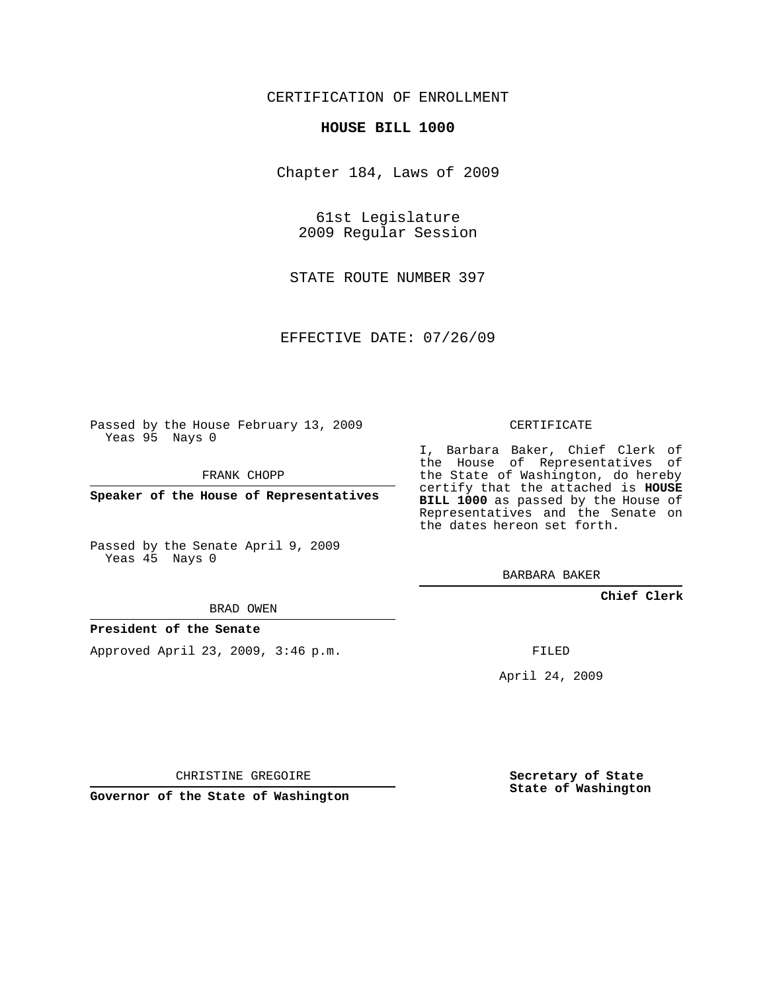## CERTIFICATION OF ENROLLMENT

## **HOUSE BILL 1000**

Chapter 184, Laws of 2009

61st Legislature 2009 Regular Session

STATE ROUTE NUMBER 397

EFFECTIVE DATE: 07/26/09

Passed by the House February 13, 2009 Yeas 95 Nays 0

FRANK CHOPP

**Speaker of the House of Representatives**

Passed by the Senate April 9, 2009 Yeas 45 Nays 0

BRAD OWEN

## **President of the Senate**

Approved April 23, 2009, 3:46 p.m.

CERTIFICATE

I, Barbara Baker, Chief Clerk of the House of Representatives of the State of Washington, do hereby certify that the attached is **HOUSE BILL 1000** as passed by the House of Representatives and the Senate on the dates hereon set forth.

BARBARA BAKER

**Chief Clerk**

FILED

April 24, 2009

CHRISTINE GREGOIRE

**Governor of the State of Washington**

**Secretary of State State of Washington**